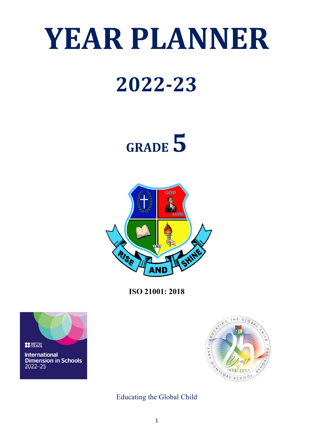# **YEAR PLANNER**

## **2022-23**

# **GRADE5**



**ISO 21001: 2018**





Educating the Global Child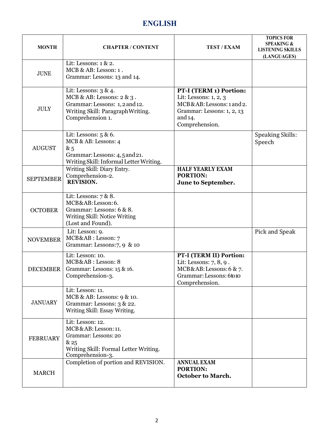### **ENGLISH**

| <b>MONTH</b>     | <b>CHAPTER / CONTENT</b>                                                                                                                         | <b>TEST / EXAM</b>                                                                                                                      | <b>TOPICS FOR</b><br><b>SPEAKING &amp;</b><br><b>LISTENING SKILLS</b><br>(LANGUAGES) |
|------------------|--------------------------------------------------------------------------------------------------------------------------------------------------|-----------------------------------------------------------------------------------------------------------------------------------------|--------------------------------------------------------------------------------------|
| <b>JUNE</b>      | Lit: Lessons: $1 \& 2$ .<br>MCB & AB: Lesson: 1.<br>Grammar: Lessons: 13 and 14.                                                                 |                                                                                                                                         |                                                                                      |
| <b>JULY</b>      | Lit: Lessons: 3 & 4.<br>MCB & AB: Lessons: $2 \& 3$ .<br>Grammar: Lessons: 1, 2 and 12.<br>Writing Skill: Paragraph Writing.<br>Comprehension 1. | PT-I (TERM 1) Portion:<br>Lit: Lessons: 1, 2, 3<br>MCB&AB: Lessons: 1 and 2.<br>Grammar: Lessons: 1, 2, 13<br>and 14.<br>Comprehension. |                                                                                      |
| <b>AUGUST</b>    | Lit: Lessons: $5 & 6$ .<br>MCB & AB: Lessons: 4<br>&5<br>Grammar: Lessons: 4,5 and 21.<br>Writing Skill: Informal Letter Writing.                |                                                                                                                                         | <b>Speaking Skills:</b><br>Speech                                                    |
| <b>SEPTEMBER</b> | Writing Skill: Diary Entry.<br>Comprehension-2.<br>REVISION.                                                                                     | <b>HALF YEARLY EXAM</b><br><b>PORTION:</b><br>June to September.                                                                        |                                                                                      |
| <b>OCTOBER</b>   | Lit: Lessons: $7 & 8$ .<br>MCB&AB:Lesson:6.<br>Grammar: Lessons: 6 & 8.<br>Writing Skill: Notice Writing<br>(Lost and Found).                    |                                                                                                                                         |                                                                                      |
| <b>NOVEMBER</b>  | Lit: Lesson: 9.<br>MCB&AB: Lesson: 7<br>Grammar: Lessons:7, 9 & 10                                                                               |                                                                                                                                         | Pick and Speak                                                                       |
| <b>DECEMBER</b>  | Lit: Lesson: 10.<br>MCB&AB: Lesson: 8<br>Grammar: Lessons: 15 & 16.<br>Comprehension-3.                                                          | PT-I (TERM II) Portion:<br>Lit: Lessons: 7, 8, 9.<br>MCB&AB: Lessons: 6 & 7.<br>Grammar: Lessons: 6to10<br>Comprehension.               |                                                                                      |
| <b>JANUARY</b>   | Lit: Lesson: 11.<br>MCB & AB: Lessons: 9 & 10.<br>Grammar: Lessons: 3 & 22.<br>Writing Skill: Essay Writing.                                     |                                                                                                                                         |                                                                                      |
| <b>FEBRUARY</b>  | Lit: Lesson: 12.<br>MCB&AB: Lesson: 11.<br>Grammar: Lessons: 20<br>& 25<br>Writing Skill: Formal Letter Writing.<br>Comprehension-3.             |                                                                                                                                         |                                                                                      |
| <b>MARCH</b>     | Completion of portion and REVISION.                                                                                                              | <b>ANNUAL EXAM</b><br><b>PORTION:</b><br><b>October to March.</b>                                                                       |                                                                                      |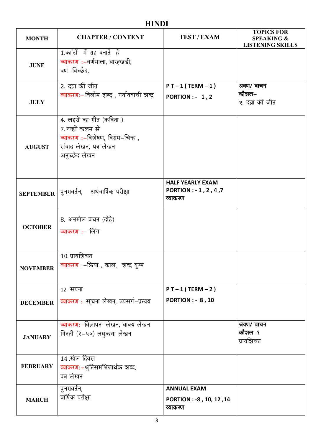### **HINDI**

| <b>MONTH</b>     | <b>CHAPTER / CONTENT</b>                                                                                                  | <b>TEST / EXAM</b>                                          | <b>TOPICS FOR</b><br><b>SPEAKING &amp;</b><br><b>LISTENING SKILLS</b> |
|------------------|---------------------------------------------------------------------------------------------------------------------------|-------------------------------------------------------------|-----------------------------------------------------------------------|
| <b>JUNE</b>      | 1.काँटों में राह बनाते हैं<br>व्याकरण :-वर्णमाला, बारह्खडी,<br>वर्ण–विच्छेद,                                              |                                                             |                                                                       |
| <b>JULY</b>      | 2. दय़ा की जीत<br>व्याकरण:- विलोम शब्द, पर्यायवाची शब्द                                                                   | $PT-1(TERM-1)$<br><b>PORTION: - 1,2</b>                     | श्रवण/ वाचन<br>कौशल–<br>२. दय़ा की जीत                                |
| <b>AUGUST</b>    | 4. लहरों का गीत (कविता )<br>7. नन्हीं कलम से<br>व्याकरण :-विशेषण, विराम-चिन्ह ,<br>संवाद लेखन, पत्र लेखन<br>अनुच्छेद लेखन |                                                             |                                                                       |
| <b>SEPTEMBER</b> | पुनरावर्तन, अर्धवार्षिक परीक्षा                                                                                           | <b>HALF YEARLY EXAM</b><br>PORTION: - 1, 2, 4, 7<br>व्याकरण |                                                                       |
| <b>OCTOBER</b>   | 8. अनमोल वचन (दोहे)<br>व्याकरण :- लिंग                                                                                    |                                                             |                                                                       |
| <b>NOVEMBER</b>  | $10.$ प्रायशिचत<br>व्याकरण :-क्रिया , काल, शब्द युग्म                                                                     |                                                             |                                                                       |
| <b>DECEMBER</b>  | 12. सपना<br>व्याकरण :-सूचना लेखन, उपसर्ग-प्रत्यय                                                                          | $PT - 1 (TERM - 2)$<br><b>PORTION : - 8, 10</b>             |                                                                       |
| <b>JANUARY</b>   | व्याकरणः–विज्ञापन–लेखन, वाक्य लेखन<br>गिनती (१-५०) लघुकथा लेखन                                                            |                                                             | श्रवण/ वाचन<br>कौशल–१<br>प्रायशिचत                                    |
| <b>FEBRUARY</b>  | 14.खेल दिवस<br>व्याकरण:-श्रुतिसमभिन्नार्थक शब्द,<br>पत्र लेखन                                                             |                                                             |                                                                       |
| <b>MARCH</b>     | पुनरावर्तन,<br>वार्षिक परीक्षा                                                                                            | <b>ANNUAL EXAM</b><br>PORTION: -8, 10, 12, 14<br>व्याकरण    |                                                                       |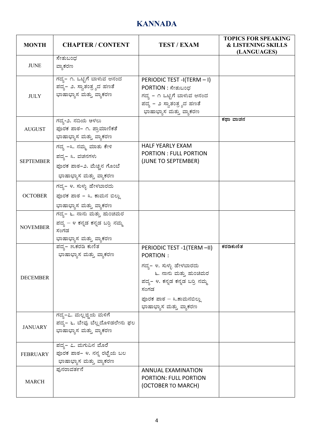### **KANNADA**

| <b>MONTH</b>     | <b>CHAPTER / CONTENT</b>                                                                           | <b>TEST / EXAM</b>                                                                                                                                                                           | <b>TOPICS FOR SPEAKING</b><br><b>&amp; LISTENING SKILLS</b><br>(LANGUAGES) |
|------------------|----------------------------------------------------------------------------------------------------|----------------------------------------------------------------------------------------------------------------------------------------------------------------------------------------------|----------------------------------------------------------------------------|
| <b>JUNE</b>      | ಸೇತುಬಂಧ<br>ವ್ಯಾಕರಣ                                                                                 |                                                                                                                                                                                              |                                                                            |
| <b>JULY</b>      | ಗದ್ಯ– ೧. ಒಟ್ಟಿಗೆ ಬಾಳುವ ಆನಂದ<br>ಪದ್ಯ– ೨. ಸ್ವಾತಂತ್ರ್ಯದ ಹಣತೆ<br>ಭಾಷಾಭ್ಯಾಸ ಮತ್ತು ವ್ಯಾಕರಣ               | PERIODIC TEST -I(TERM - I)<br>PORTION : ಸೇತುಬಂಧ<br>ಗದ್ಯ – ೧ ಒಟ್ಟಿಗೆ ಬಾಳುವ ಆನಂದ<br>ಪದ್ಯ – ೨ ಸ್ವಾತಂತ್ರ್ಯದ ಹಣತೆ<br>ಭಾಷಾಭ್ಯಾಸ ಮತ್ತು ವ್ಯಾಕರಣ                                                      |                                                                            |
| AUGUST           | ಗದ್ಯ-೨. ನದಿಯ ಅಳಲು<br>ಪೂರಕ ಪಾಠ- ೧. ಪ್ರಾಮಾಣಿಕತೆ<br>ಭಾಷಾಭ್ಯಾಸ ಮತ್ತು ವ್ಯಾಕರಣ                           |                                                                                                                                                                                              | ಕಥಾ ವಾಚನ                                                                   |
| <b>SEPTEMBER</b> | ಗದ್ಯ –೩. ನಮ್ಮ ಮಾತು ಕೇಳಿ<br>ಪದ್ಯ– ೩. ವಚನಗಳು<br>ಪೂರಕ ಪಾಠ-೨. ಮೆಚ್ಚಿನ ಗೊಂಬೆ<br>ಭಾಷಾಭ್ಯಾಸ ಮತ್ತು ವ್ಯಾಕರಣ | <b>HALF YEARLY EXAM</b><br><b>PORTION: FULL PORTION</b><br>(JUNE TO SEPTEMBER)                                                                                                               |                                                                            |
| <b>OCTOBER</b>   | ಗದ್ಯ – ೪. ಸುಳ್ಳು ಹೇಳಬಾರದು<br>ಪೂರಕ ಪಾಠ - ೩. ಕಾಮನ ಬಿಲ್ಲು<br>ಭಾಷಾಭ್ಯಾಸ ಮತ್ತು ವ್ಯಾಕರಣ                  |                                                                                                                                                                                              |                                                                            |
| <b>NOVEMBER</b>  | ಗದ್ಯ– ೬. ನಾನು ಮತ್ತು ಹುಂಚಿಮರ<br>ಪದ್ಯ – ೪ ಕನ್ನಡ ಕನ್ನಡ ಬರ್ರಿ ನಮ್ಮ<br>ಸಂಗಡ<br>ಭಾಷಾಭ್ಯಾಸ ಮತ್ತು ವ್ಯಾಕರಣ  |                                                                                                                                                                                              |                                                                            |
| <b>DECEMBER</b>  | ಪದ್ಯ– ೫.ಕರಡಿ ಕುಣಿತ<br>ಭಾಷಾಭ್ಯಾಸ ಮತ್ತು ವ್ಯಾಕರಣ                                                      | PERIODIC TEST -1(TERM -II)<br>PORTION:<br>ಗದ್ಯ– ೪. ಸುಳ್ಳು ಹೇಳಬಾರದು<br>೬. ನಾನು ಮತ್ತು ಹುಂಚಿಮರ<br>ಪದ್ಯ– ೪. ಕನ್ನಡ ಕನ್ನಡ ಬರ್ರಿ ನಮ್ಮ<br>ಸಂಗಡ<br>ಪೂರಕ ಪಾಠ – ೩.ಕಾಮನಬಿಲ್ಲು<br>ಭಾಷಾಭ್ಯಾಸ ಮತ್ತು ವ್ಯಾಕರಣ | ಕರಡಿಕುಣಿತ                                                                  |
| <b>JANUARY</b>   | ಗದ್ಯ–೭. ಮಲ್ಲಜ್ಜಿಯ ಮಳಿಗೆ<br>ಪದ್ಯ– ೬. ಬೇವು ಬೆಲ್ಲದೊಳಿಡಲೇನು ಫಲ<br>ಭಾಷಾಭ್ಯಾಸ ಮತ್ತು ವ್ಯಾಕರಣ              |                                                                                                                                                                                              |                                                                            |
| <b>FEBRUARY</b>  | ಪದ್ಯ– ೭. ಮಗುವಿನ ಮೊರೆ<br>ಪೂರಕ ಪಾಠ– ೪. ನನ್ನ ರಟ್ಟೆಯ ಬಲ<br>ಭಾಷಾಭ್ಯಾಸ ಮತ್ತು ವ್ಯಾಕರಣ                     |                                                                                                                                                                                              |                                                                            |
| <b>MARCH</b>     | ಫುನರಾವರ್ತನೆ                                                                                        | ANNUAL EXAMINATION<br>PORTION: FULL PORTION<br>(OCTOBER TO MARCH)                                                                                                                            |                                                                            |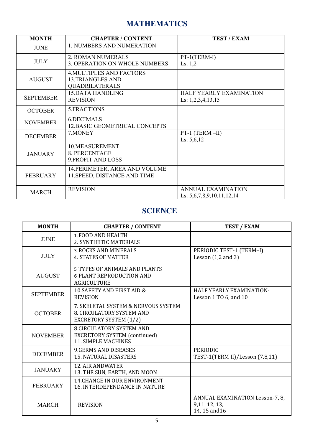### **MATHEMATICS**

| <b>MONTH</b>     | <b>CHAPTER / CONTENT</b>                                                            | <b>TEST / EXAM</b>                                       |
|------------------|-------------------------------------------------------------------------------------|----------------------------------------------------------|
| <b>JUNE</b>      | 1. NUMBERS AND NUMERATION                                                           |                                                          |
| <b>JULY</b>      | 2. ROMAN NUMERALS<br>3. OPERATION ON WHOLE NUMBERS                                  | PT-1(TERM-I)<br>Ls: $1,2$                                |
| <b>AUGUST</b>    | <b>4. MULTIPLES AND FACTORS</b><br><b>13.TRIANGLES AND</b><br><b>QUADRILATERALS</b> |                                                          |
| <b>SEPTEMBER</b> | <b>15.DATA HANDLING</b><br><b>REVISION</b>                                          | HALF YEARLY EXAMINATION<br>Ls: $1,2,3,4,13,15$           |
| <b>OCTOBER</b>   | 5. FRACTIONS                                                                        |                                                          |
| <b>NOVEMBER</b>  | 6.DECIMALS<br>12. BASIC GEOMETRICAL CONCEPTS                                        |                                                          |
| <b>DECEMBER</b>  | 7. MONEY                                                                            | PT-1 (TERM-II)<br>Ls: $5,6,12$                           |
| <b>JANUARY</b>   | 10.MEASUREMENT<br>8. PERCENTAGE<br>9. PROFIT AND LOSS                               |                                                          |
| <b>FEBRUARY</b>  | 14. PERIMETER, AREA AND VOLUME<br>11. SPEED, DISTANCE AND TIME                      |                                                          |
| <b>MARCH</b>     | <b>REVISION</b>                                                                     | <b>ANNUAL EXAMINATION</b><br>Ls: $5,6,7,8,9,10,11,12,14$ |

#### **SCIENCE**

| <b>MONTH</b>     | <b>CHAPTER / CONTENT</b>                                                                             | <b>TEST / EXAM</b>                                                |
|------------------|------------------------------------------------------------------------------------------------------|-------------------------------------------------------------------|
| <b>JUNE</b>      | 1. FOOD AND HEALTH<br>2. SYNTHETIC MATERIALS                                                         |                                                                   |
| <b>JULY</b>      | 3. ROCKS AND MINERALS<br><b>4. STATES OF MATTER</b>                                                  | PERIODIC TEST-1 (TERM-I)<br>Lesson $(1,2$ and $3)$                |
| <b>AUGUST</b>    | 5. TYPES OF ANIMALS AND PLANTS<br><b>6. PLANT REPRODUCTION AND</b><br><b>AGRICULTURE</b>             |                                                                   |
| <b>SEPTEMBER</b> | 10. SAFETY AND FIRST AID &<br><b>REVISION</b>                                                        | HALF YEARLY EXAMINATION-<br>Lesson 1 TO 6, and 10                 |
| <b>OCTOBER</b>   | 7. SKELETAL SYSTEM & NERVOUS SYSTEM<br>8. CIRCULATORY SYSTEM AND<br><b>EXCRETORY SYSTEM (1/2)</b>    |                                                                   |
| <b>NOVEMBER</b>  | <b>8.CIRCULATORY SYSTEM AND</b><br><b>EXCRETORY SYSTEM (continued)</b><br><b>11. SIMPLE MACHINES</b> |                                                                   |
| <b>DECEMBER</b>  | <b>9.GERMS AND DISEASES</b><br><b>15. NATURAL DISASTERS</b>                                          | <b>PERIODIC</b><br>TEST-1(TERM II)/Lesson (7,8,11)                |
| <b>JANUARY</b>   | <b>12. AIR ANDWATER</b><br>13. THE SUN, EARTH, AND MOON                                              |                                                                   |
| <b>FEBRUARY</b>  | <b>14.CHANGE IN OUR ENVIRONMENT</b><br><b>16. INTERDEPENDANCE IN NATURE</b>                          |                                                                   |
| <b>MARCH</b>     | <b>REVISION</b>                                                                                      | ANNUAL EXAMINATION Lesson-7, 8,<br>9,11, 12, 13,<br>14, 15 and 16 |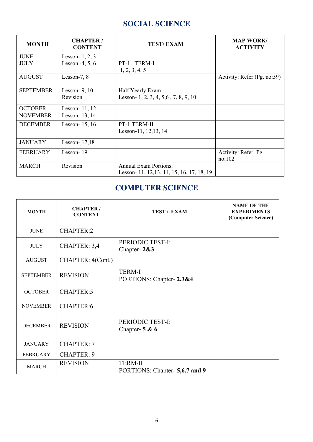#### **SOCIAL SCIENCE**

| <b>MONTH</b>     | <b>CHAPTER/</b><br><b>CONTENT</b> | <b>TEST/EXAM</b>                           | <b>MAP WORK/</b><br><b>ACTIVITY</b> |
|------------------|-----------------------------------|--------------------------------------------|-------------------------------------|
| <b>JUNE</b>      | Lesson- $1, 2, 3$                 |                                            |                                     |
| <b>JULY</b>      | Lesson $-4, 5, 6$                 | PT-1 TERM-I<br>1, 2, 3, 4, 5               |                                     |
| <b>AUGUST</b>    | Lesson-7, 8                       |                                            | Activity: Refer (Pg. no:59)         |
| <b>SEPTEMBER</b> | Lesson- $9, 10$                   | Half Yearly Exam                           |                                     |
|                  | Revision                          | Lesson-1, 2, 3, 4, 5, 6, 7, 8, 9, 10       |                                     |
| <b>OCTOBER</b>   | Lesson- $11, 12$                  |                                            |                                     |
| <b>NOVEMBER</b>  | Lesson-13, 14                     |                                            |                                     |
| <b>DECEMBER</b>  | Lesson- 15, 16                    | PT-1 TERM-II                               |                                     |
|                  |                                   | Lesson-11, 12,13, 14                       |                                     |
| <b>JANUARY</b>   | Lesson- $17,18$                   |                                            |                                     |
| <b>FEBRUARY</b>  | Lesson-19                         |                                            | Activity: Refer: Pg.<br>no:102      |
| <b>MARCH</b>     | Revision                          | <b>Annual Exam Portions:</b>               |                                     |
|                  |                                   | Lesson- 11, 12, 13, 14, 15, 16, 17, 18, 19 |                                     |

#### **COMPUTER SCIENCE**

| <b>MONTH</b>     | <b>CHAPTER/</b><br><b>CONTENT</b> | <b>TEST / EXAM</b>                              | <b>NAME OF THE</b><br><b>EXPERIMENTS</b><br>(Computer Science) |
|------------------|-----------------------------------|-------------------------------------------------|----------------------------------------------------------------|
| <b>JUNE</b>      | <b>CHAPTER:2</b>                  |                                                 |                                                                |
| <b>JULY</b>      | CHAPTER: 3,4                      | PERIODIC TEST-I:<br>Chapter- $2&3$              |                                                                |
| <b>AUGUST</b>    | CHAPTER: 4(Cont.)                 |                                                 |                                                                |
| <b>SEPTEMBER</b> | <b>REVISION</b>                   | <b>TERM-I</b><br>PORTIONS: Chapter-2,3&4        |                                                                |
| <b>OCTOBER</b>   | <b>CHAPTER:5</b>                  |                                                 |                                                                |
| <b>NOVEMBER</b>  | <b>CHAPTER:6</b>                  |                                                 |                                                                |
| <b>DECEMBER</b>  | <b>REVISION</b>                   | PERIODIC TEST-I:<br>Chapter- $5 & 6$            |                                                                |
| <b>JANUARY</b>   | <b>CHAPTER: 7</b>                 |                                                 |                                                                |
| <b>FEBRUARY</b>  | <b>CHAPTER: 9</b>                 |                                                 |                                                                |
| <b>MARCH</b>     | <b>REVISION</b>                   | <b>TERM-II</b><br>PORTIONS: Chapter-5,6,7 and 9 |                                                                |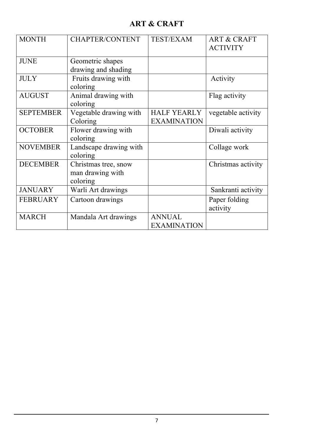### **ART & CRAFT**

| <b>MONTH</b>     | <b>CHAPTER/CONTENT</b>                               | <b>TEST/EXAM</b>                         | <b>ART &amp; CRAFT</b><br><b>ACTIVITY</b> |
|------------------|------------------------------------------------------|------------------------------------------|-------------------------------------------|
| <b>JUNE</b>      | Geometric shapes<br>drawing and shading              |                                          |                                           |
| <b>JULY</b>      | Fruits drawing with<br>coloring                      |                                          | Activity                                  |
| <b>AUGUST</b>    | Animal drawing with<br>coloring                      |                                          | Flag activity                             |
| <b>SEPTEMBER</b> | Vegetable drawing with<br>Coloring                   | <b>HALF YEARLY</b><br><b>EXAMINATION</b> | vegetable activity                        |
| <b>OCTOBER</b>   | Flower drawing with<br>coloring                      |                                          | Diwali activity                           |
| <b>NOVEMBER</b>  | Landscape drawing with<br>coloring                   |                                          | Collage work                              |
| <b>DECEMBER</b>  | Christmas tree, snow<br>man drawing with<br>coloring |                                          | Christmas activity                        |
| <b>JANUARY</b>   | Warli Art drawings                                   |                                          | Sankranti activity                        |
| <b>FEBRUARY</b>  | Cartoon drawings                                     |                                          | Paper folding<br>activity                 |
| <b>MARCH</b>     | Mandala Art drawings                                 | <b>ANNUAL</b><br><b>EXAMINATION</b>      |                                           |